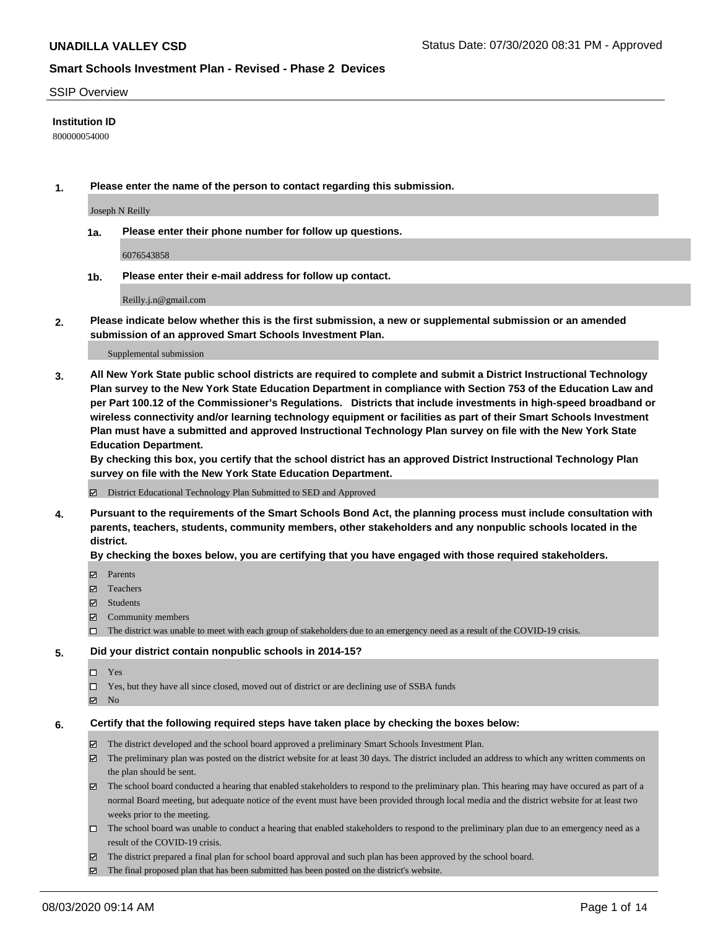#### SSIP Overview

### **Institution ID**

800000054000

**1. Please enter the name of the person to contact regarding this submission.**

Joseph N Reilly

**1a. Please enter their phone number for follow up questions.**

6076543858

**1b. Please enter their e-mail address for follow up contact.**

Reilly.j.n@gmail.com

**2. Please indicate below whether this is the first submission, a new or supplemental submission or an amended submission of an approved Smart Schools Investment Plan.**

#### Supplemental submission

**3. All New York State public school districts are required to complete and submit a District Instructional Technology Plan survey to the New York State Education Department in compliance with Section 753 of the Education Law and per Part 100.12 of the Commissioner's Regulations. Districts that include investments in high-speed broadband or wireless connectivity and/or learning technology equipment or facilities as part of their Smart Schools Investment Plan must have a submitted and approved Instructional Technology Plan survey on file with the New York State Education Department.** 

**By checking this box, you certify that the school district has an approved District Instructional Technology Plan survey on file with the New York State Education Department.**

District Educational Technology Plan Submitted to SED and Approved

**4. Pursuant to the requirements of the Smart Schools Bond Act, the planning process must include consultation with parents, teachers, students, community members, other stakeholders and any nonpublic schools located in the district.** 

#### **By checking the boxes below, you are certifying that you have engaged with those required stakeholders.**

- **□** Parents
- Teachers
- Students
- $\boxtimes$  Community members
- The district was unable to meet with each group of stakeholders due to an emergency need as a result of the COVID-19 crisis.

#### **5. Did your district contain nonpublic schools in 2014-15?**

- $\neg$  Yes
- Yes, but they have all since closed, moved out of district or are declining use of SSBA funds
- **Z** No

#### **6. Certify that the following required steps have taken place by checking the boxes below:**

- The district developed and the school board approved a preliminary Smart Schools Investment Plan.
- $\boxtimes$  The preliminary plan was posted on the district website for at least 30 days. The district included an address to which any written comments on the plan should be sent.
- $\boxtimes$  The school board conducted a hearing that enabled stakeholders to respond to the preliminary plan. This hearing may have occured as part of a normal Board meeting, but adequate notice of the event must have been provided through local media and the district website for at least two weeks prior to the meeting.
- The school board was unable to conduct a hearing that enabled stakeholders to respond to the preliminary plan due to an emergency need as a result of the COVID-19 crisis.
- The district prepared a final plan for school board approval and such plan has been approved by the school board.
- $\boxtimes$  The final proposed plan that has been submitted has been posted on the district's website.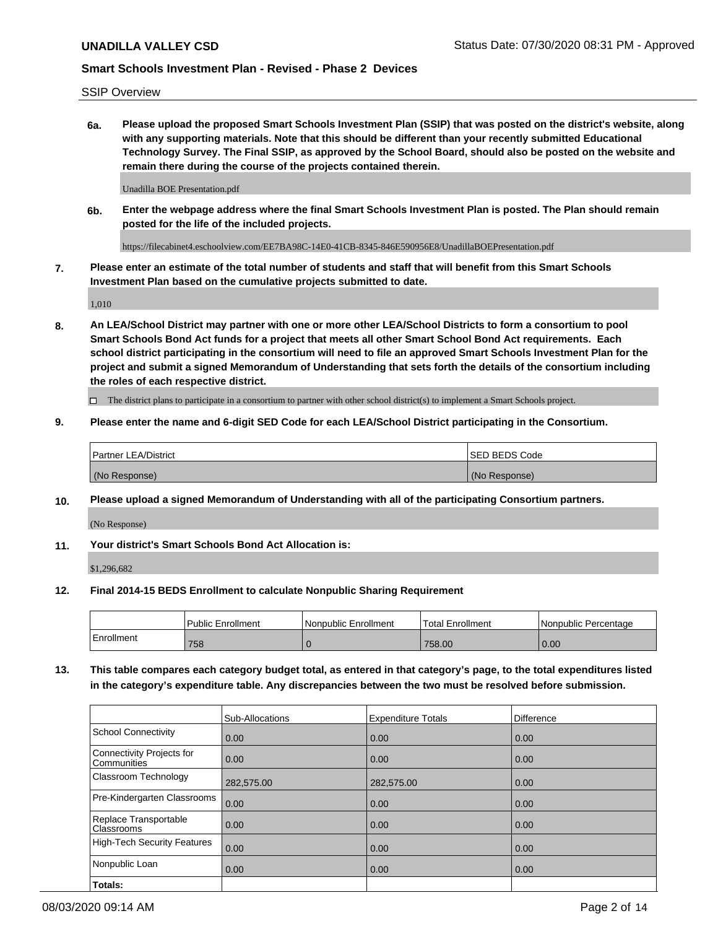SSIP Overview

**6a. Please upload the proposed Smart Schools Investment Plan (SSIP) that was posted on the district's website, along with any supporting materials. Note that this should be different than your recently submitted Educational Technology Survey. The Final SSIP, as approved by the School Board, should also be posted on the website and remain there during the course of the projects contained therein.**

Unadilla BOE Presentation.pdf

**6b. Enter the webpage address where the final Smart Schools Investment Plan is posted. The Plan should remain posted for the life of the included projects.**

https://filecabinet4.eschoolview.com/EE7BA98C-14E0-41CB-8345-846E590956E8/UnadillaBOEPresentation.pdf

**7. Please enter an estimate of the total number of students and staff that will benefit from this Smart Schools Investment Plan based on the cumulative projects submitted to date.**

1,010

**8. An LEA/School District may partner with one or more other LEA/School Districts to form a consortium to pool Smart Schools Bond Act funds for a project that meets all other Smart School Bond Act requirements. Each school district participating in the consortium will need to file an approved Smart Schools Investment Plan for the project and submit a signed Memorandum of Understanding that sets forth the details of the consortium including the roles of each respective district.**

 $\Box$  The district plans to participate in a consortium to partner with other school district(s) to implement a Smart Schools project.

### **9. Please enter the name and 6-digit SED Code for each LEA/School District participating in the Consortium.**

| Partner LEA/District | <b>ISED BEDS Code</b> |
|----------------------|-----------------------|
| (No Response)        | (No Response)         |

### **10. Please upload a signed Memorandum of Understanding with all of the participating Consortium partners.**

(No Response)

### **11. Your district's Smart Schools Bond Act Allocation is:**

\$1,296,682

#### **12. Final 2014-15 BEDS Enrollment to calculate Nonpublic Sharing Requirement**

|            | Public Enrollment | Nonpublic Enrollment | Total Enrollment | I Nonpublic Percentage |
|------------|-------------------|----------------------|------------------|------------------------|
| Enrollment | 758               |                      | 758.00           | 0.00                   |

**13. This table compares each category budget total, as entered in that category's page, to the total expenditures listed in the category's expenditure table. Any discrepancies between the two must be resolved before submission.**

|                                          | Sub-Allocations | <b>Expenditure Totals</b> | <b>Difference</b> |
|------------------------------------------|-----------------|---------------------------|-------------------|
| <b>School Connectivity</b>               | 0.00            | 0.00                      | 0.00              |
| Connectivity Projects for<br>Communities | 0.00            | 0.00                      | 0.00              |
| Classroom Technology                     | 282,575.00      | 282,575.00                | 0.00              |
| Pre-Kindergarten Classrooms              | 0.00            | 0.00                      | 0.00              |
| Replace Transportable<br>Classrooms      | 0.00            | 0.00                      | 0.00              |
| High-Tech Security Features              | 0.00            | 0.00                      | 0.00              |
| Nonpublic Loan                           | 0.00            | 0.00                      | 0.00              |
| Totals:                                  |                 |                           |                   |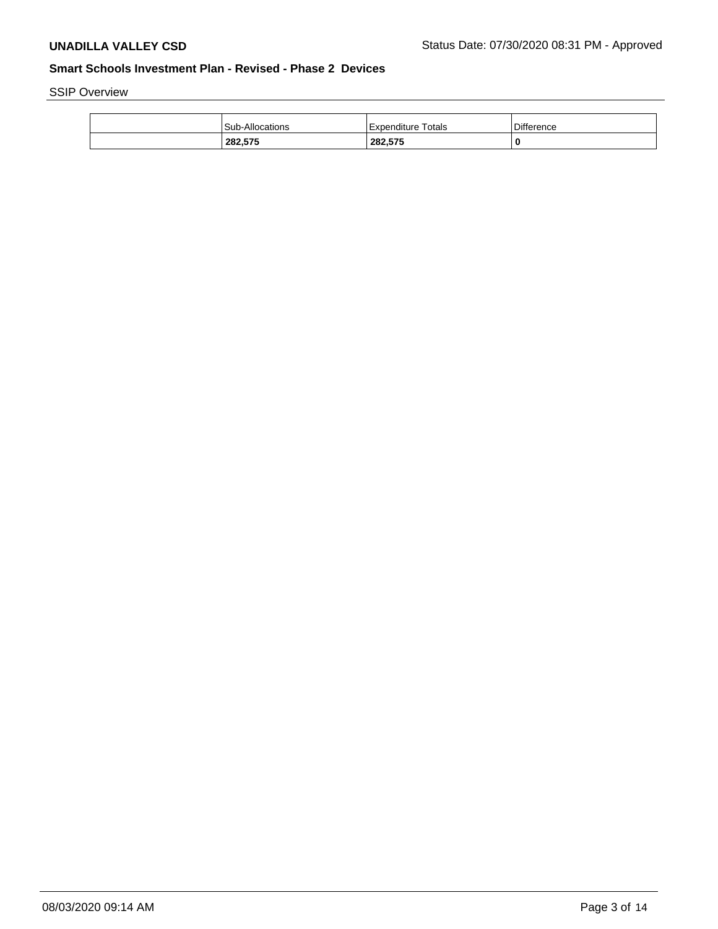SSIP Overview

| Difference<br><b>Sub-Allocations</b><br>Expenditure Totals<br>282,575<br>282,575 |
|----------------------------------------------------------------------------------|
|                                                                                  |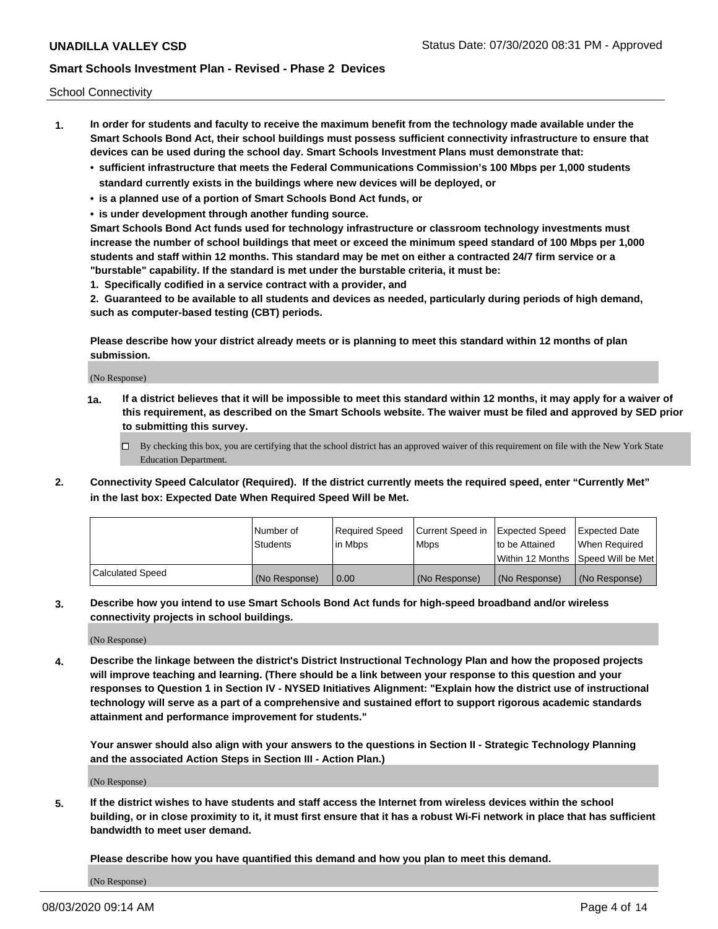School Connectivity

- **1. In order for students and faculty to receive the maximum benefit from the technology made available under the Smart Schools Bond Act, their school buildings must possess sufficient connectivity infrastructure to ensure that devices can be used during the school day. Smart Schools Investment Plans must demonstrate that:**
	- **• sufficient infrastructure that meets the Federal Communications Commission's 100 Mbps per 1,000 students standard currently exists in the buildings where new devices will be deployed, or**
	- **• is a planned use of a portion of Smart Schools Bond Act funds, or**
	- **• is under development through another funding source.**

**Smart Schools Bond Act funds used for technology infrastructure or classroom technology investments must increase the number of school buildings that meet or exceed the minimum speed standard of 100 Mbps per 1,000 students and staff within 12 months. This standard may be met on either a contracted 24/7 firm service or a "burstable" capability. If the standard is met under the burstable criteria, it must be:**

**1. Specifically codified in a service contract with a provider, and**

**2. Guaranteed to be available to all students and devices as needed, particularly during periods of high demand, such as computer-based testing (CBT) periods.**

**Please describe how your district already meets or is planning to meet this standard within 12 months of plan submission.**

(No Response)

**1a. If a district believes that it will be impossible to meet this standard within 12 months, it may apply for a waiver of this requirement, as described on the Smart Schools website. The waiver must be filed and approved by SED prior to submitting this survey.**

 $\Box$  By checking this box, you are certifying that the school district has an approved waiver of this requirement on file with the New York State Education Department.

**2. Connectivity Speed Calculator (Required). If the district currently meets the required speed, enter "Currently Met" in the last box: Expected Date When Required Speed Will be Met.**

|                  | l Number of     | Required Speed | Current Speed in | Expected Speed | Expected Date                        |
|------------------|-----------------|----------------|------------------|----------------|--------------------------------------|
|                  | <b>Students</b> | In Mbps        | <b>Mbps</b>      | to be Attained | When Required                        |
|                  |                 |                |                  |                | Within 12 Months 1Speed Will be Met1 |
| Calculated Speed | (No Response)   | 0.00           | (No Response)    | (No Response)  | l (No Response)                      |

**3. Describe how you intend to use Smart Schools Bond Act funds for high-speed broadband and/or wireless connectivity projects in school buildings.**

(No Response)

**4. Describe the linkage between the district's District Instructional Technology Plan and how the proposed projects will improve teaching and learning. (There should be a link between your response to this question and your responses to Question 1 in Section IV - NYSED Initiatives Alignment: "Explain how the district use of instructional technology will serve as a part of a comprehensive and sustained effort to support rigorous academic standards attainment and performance improvement for students."** 

**Your answer should also align with your answers to the questions in Section II - Strategic Technology Planning and the associated Action Steps in Section III - Action Plan.)**

(No Response)

**5. If the district wishes to have students and staff access the Internet from wireless devices within the school building, or in close proximity to it, it must first ensure that it has a robust Wi-Fi network in place that has sufficient bandwidth to meet user demand.**

**Please describe how you have quantified this demand and how you plan to meet this demand.**

(No Response)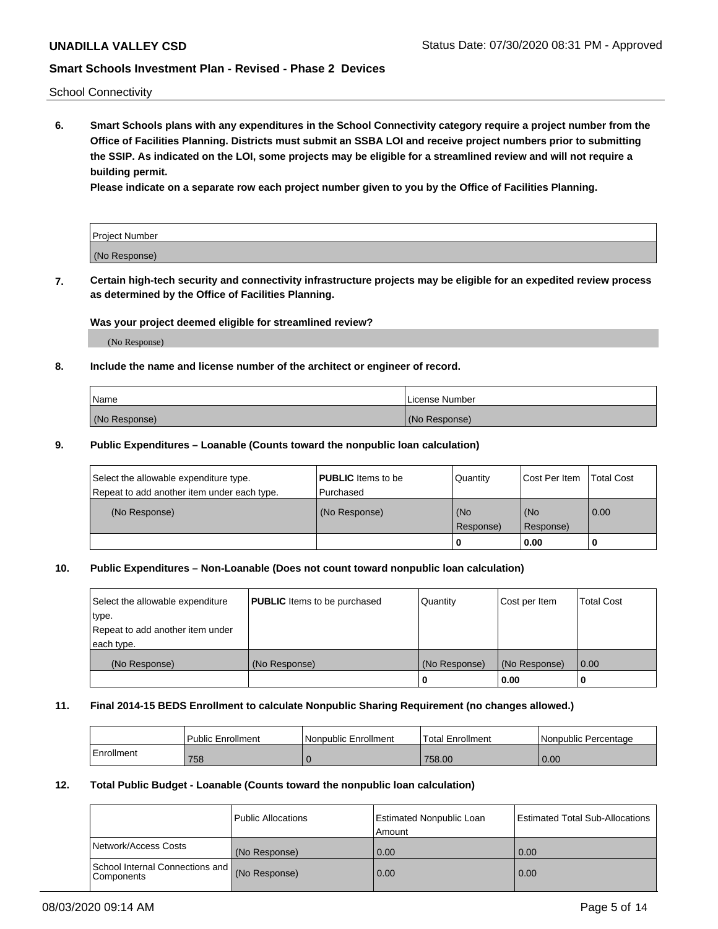School Connectivity

**6. Smart Schools plans with any expenditures in the School Connectivity category require a project number from the Office of Facilities Planning. Districts must submit an SSBA LOI and receive project numbers prior to submitting the SSIP. As indicated on the LOI, some projects may be eligible for a streamlined review and will not require a building permit.**

**Please indicate on a separate row each project number given to you by the Office of Facilities Planning.**

| Project Number |  |
|----------------|--|
| (No Response)  |  |

**7. Certain high-tech security and connectivity infrastructure projects may be eligible for an expedited review process as determined by the Office of Facilities Planning.**

### **Was your project deemed eligible for streamlined review?**

(No Response)

### **8. Include the name and license number of the architect or engineer of record.**

| Name          | License Number |
|---------------|----------------|
| (No Response) | (No Response)  |

### **9. Public Expenditures – Loanable (Counts toward the nonpublic loan calculation)**

| Select the allowable expenditure type.<br>Repeat to add another item under each type. | <b>PUBLIC</b> Items to be<br>l Purchased | Quantity           | Cost Per Item    | <b>Total Cost</b> |
|---------------------------------------------------------------------------------------|------------------------------------------|--------------------|------------------|-------------------|
| (No Response)                                                                         | (No Response)                            | l (No<br>Response) | (No<br>Response) | $\overline{0.00}$ |
|                                                                                       |                                          | 0                  | 0.00             |                   |

### **10. Public Expenditures – Non-Loanable (Does not count toward nonpublic loan calculation)**

| Select the allowable expenditure<br>type.<br>Repeat to add another item under<br>each type. | <b>PUBLIC</b> Items to be purchased | Quantity      | Cost per Item | <b>Total Cost</b> |
|---------------------------------------------------------------------------------------------|-------------------------------------|---------------|---------------|-------------------|
| (No Response)                                                                               | (No Response)                       | (No Response) | (No Response) | 0.00              |
|                                                                                             |                                     |               | 0.00          |                   |

#### **11. Final 2014-15 BEDS Enrollment to calculate Nonpublic Sharing Requirement (no changes allowed.)**

|            | Public Enrollment | l Nonpublic Enrollment | <b>Total Enrollment</b> | Nonpublic Percentage |
|------------|-------------------|------------------------|-------------------------|----------------------|
| Enrollment | 758               |                        | 758.00                  | 0.00                 |

#### **12. Total Public Budget - Loanable (Counts toward the nonpublic loan calculation)**

|                                                      | Public Allocations | <b>Estimated Nonpublic Loan</b><br>Amount | Estimated Total Sub-Allocations |
|------------------------------------------------------|--------------------|-------------------------------------------|---------------------------------|
| Network/Access Costs                                 | (No Response)      | 0.00                                      | 0.00                            |
| School Internal Connections and<br><b>Components</b> | (No Response)      | 0.00                                      | 0.00                            |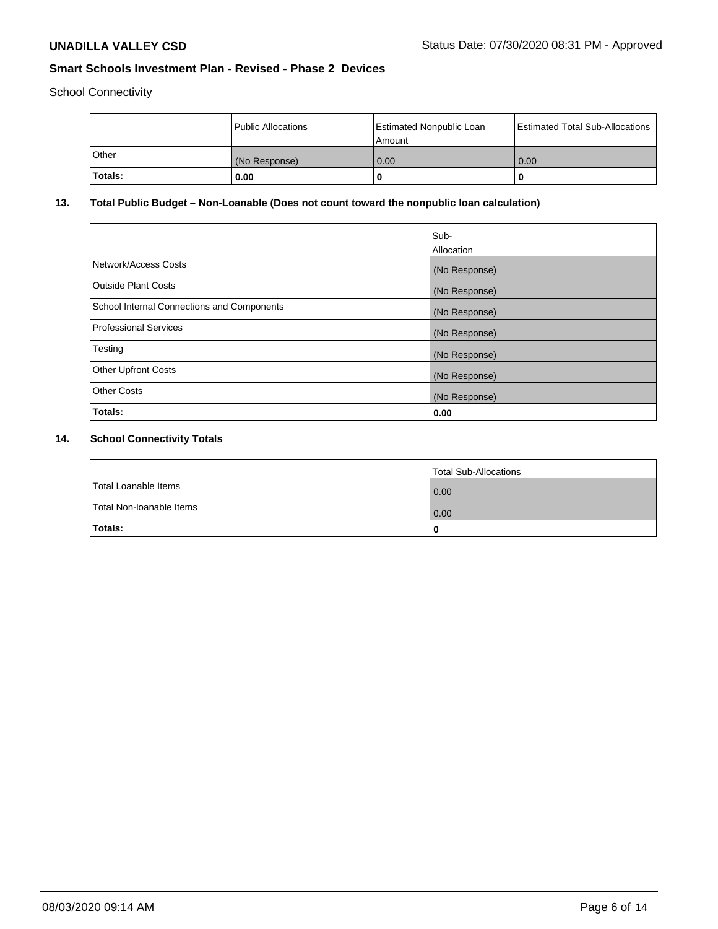School Connectivity

|         | Public Allocations | <b>Estimated Nonpublic Loan</b><br>Amount | <b>Estimated Total Sub-Allocations</b> |
|---------|--------------------|-------------------------------------------|----------------------------------------|
| ⊺Other  | (No Response)      | 0.00                                      | 0.00                                   |
| Totals: | 0.00               |                                           | 0                                      |

# **13. Total Public Budget – Non-Loanable (Does not count toward the nonpublic loan calculation)**

|                                                   | Sub-<br>Allocation |
|---------------------------------------------------|--------------------|
| Network/Access Costs                              | (No Response)      |
| <b>Outside Plant Costs</b>                        | (No Response)      |
| <b>School Internal Connections and Components</b> | (No Response)      |
| <b>Professional Services</b>                      | (No Response)      |
| Testing                                           | (No Response)      |
| <b>Other Upfront Costs</b>                        | (No Response)      |
| <b>Other Costs</b>                                | (No Response)      |
| Totals:                                           | 0.00               |

# **14. School Connectivity Totals**

|                          | Total Sub-Allocations |
|--------------------------|-----------------------|
| Total Loanable Items     | 0.00                  |
| Total Non-Ioanable Items | 0.00                  |
| Totals:                  | 0                     |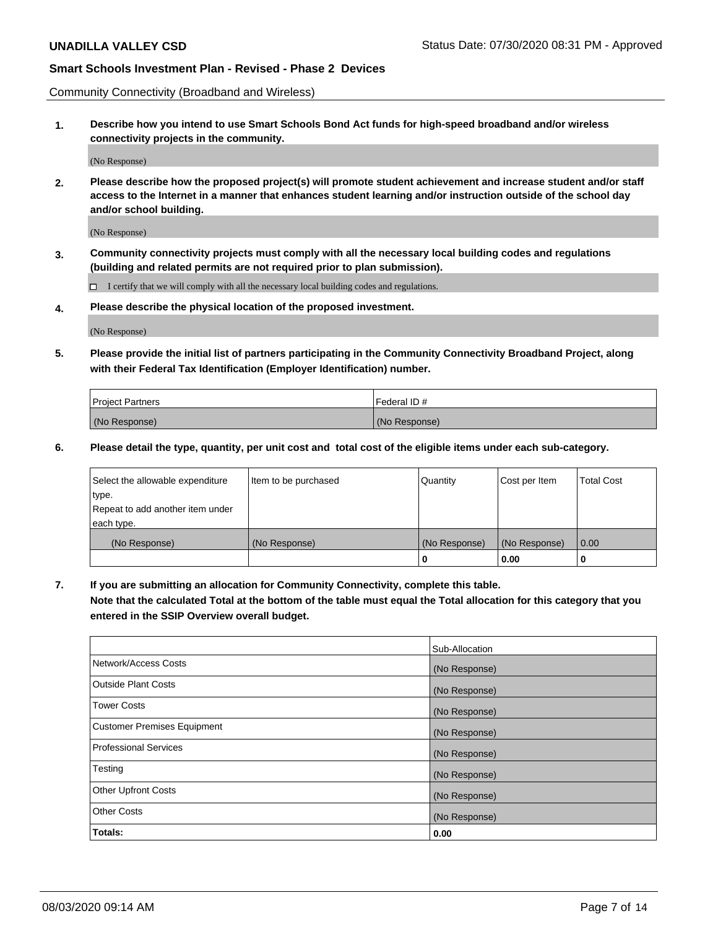Community Connectivity (Broadband and Wireless)

**1. Describe how you intend to use Smart Schools Bond Act funds for high-speed broadband and/or wireless connectivity projects in the community.**

(No Response)

**2. Please describe how the proposed project(s) will promote student achievement and increase student and/or staff access to the Internet in a manner that enhances student learning and/or instruction outside of the school day and/or school building.**

(No Response)

**3. Community connectivity projects must comply with all the necessary local building codes and regulations (building and related permits are not required prior to plan submission).**

 $\Box$  I certify that we will comply with all the necessary local building codes and regulations.

**4. Please describe the physical location of the proposed investment.**

(No Response)

**5. Please provide the initial list of partners participating in the Community Connectivity Broadband Project, along with their Federal Tax Identification (Employer Identification) number.**

| <b>Project Partners</b> | l Federal ID # |
|-------------------------|----------------|
| (No Response)           | (No Response)  |

**6. Please detail the type, quantity, per unit cost and total cost of the eligible items under each sub-category.**

| Select the allowable expenditure | Item to be purchased | Quantity      | Cost per Item | <b>Total Cost</b> |
|----------------------------------|----------------------|---------------|---------------|-------------------|
| type.                            |                      |               |               |                   |
| Repeat to add another item under |                      |               |               |                   |
| each type.                       |                      |               |               |                   |
| (No Response)                    | (No Response)        | (No Response) | (No Response) | 0.00              |
|                                  |                      | U             | 0.00          |                   |

**7. If you are submitting an allocation for Community Connectivity, complete this table.**

**Note that the calculated Total at the bottom of the table must equal the Total allocation for this category that you entered in the SSIP Overview overall budget.**

|                                    | Sub-Allocation |
|------------------------------------|----------------|
| Network/Access Costs               | (No Response)  |
| <b>Outside Plant Costs</b>         | (No Response)  |
| <b>Tower Costs</b>                 | (No Response)  |
| <b>Customer Premises Equipment</b> | (No Response)  |
| <b>Professional Services</b>       | (No Response)  |
| Testing                            | (No Response)  |
| <b>Other Upfront Costs</b>         | (No Response)  |
| <b>Other Costs</b>                 | (No Response)  |
| Totals:                            | 0.00           |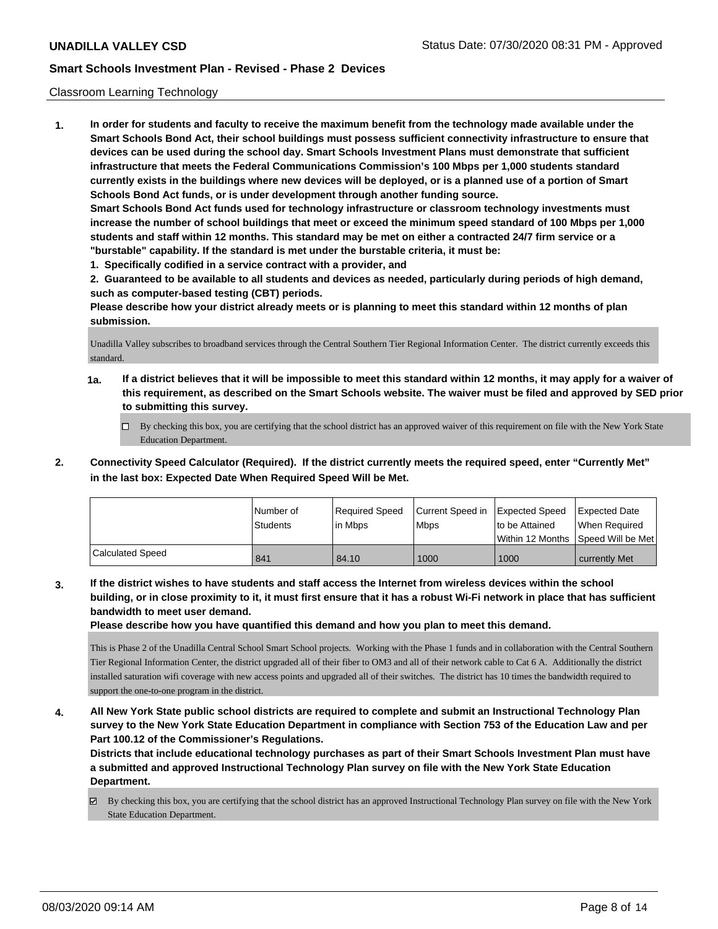### Classroom Learning Technology

**1. In order for students and faculty to receive the maximum benefit from the technology made available under the Smart Schools Bond Act, their school buildings must possess sufficient connectivity infrastructure to ensure that devices can be used during the school day. Smart Schools Investment Plans must demonstrate that sufficient infrastructure that meets the Federal Communications Commission's 100 Mbps per 1,000 students standard currently exists in the buildings where new devices will be deployed, or is a planned use of a portion of Smart Schools Bond Act funds, or is under development through another funding source. Smart Schools Bond Act funds used for technology infrastructure or classroom technology investments must increase the number of school buildings that meet or exceed the minimum speed standard of 100 Mbps per 1,000 students and staff within 12 months. This standard may be met on either a contracted 24/7 firm service or a "burstable" capability. If the standard is met under the burstable criteria, it must be:**

**1. Specifically codified in a service contract with a provider, and**

**2. Guaranteed to be available to all students and devices as needed, particularly during periods of high demand, such as computer-based testing (CBT) periods.**

**Please describe how your district already meets or is planning to meet this standard within 12 months of plan submission.**

Unadilla Valley subscribes to broadband services through the Central Southern Tier Regional Information Center. The district currently exceeds this standard.

- **1a. If a district believes that it will be impossible to meet this standard within 12 months, it may apply for a waiver of this requirement, as described on the Smart Schools website. The waiver must be filed and approved by SED prior to submitting this survey.**
	- By checking this box, you are certifying that the school district has an approved waiver of this requirement on file with the New York State Education Department.
- **2. Connectivity Speed Calculator (Required). If the district currently meets the required speed, enter "Currently Met" in the last box: Expected Date When Required Speed Will be Met.**

|                  | l Number of<br>Students | Required Speed<br>l in Mbps | Current Speed in<br>Mbps | <b>Expected Speed</b><br>to be Attained | <b>Expected Date</b><br>When Required<br>Within 12 Months 1Speed Will be Met1 |
|------------------|-------------------------|-----------------------------|--------------------------|-----------------------------------------|-------------------------------------------------------------------------------|
| Calculated Speed | 841                     | 84.10                       | 1000                     | 1000                                    | currently Met                                                                 |

**3. If the district wishes to have students and staff access the Internet from wireless devices within the school building, or in close proximity to it, it must first ensure that it has a robust Wi-Fi network in place that has sufficient bandwidth to meet user demand.**

**Please describe how you have quantified this demand and how you plan to meet this demand.**

This is Phase 2 of the Unadilla Central School Smart School projects. Working with the Phase 1 funds and in collaboration with the Central Southern Tier Regional Information Center, the district upgraded all of their fiber to OM3 and all of their network cable to Cat 6 A. Additionally the district installed saturation wifi coverage with new access points and upgraded all of their switches. The district has 10 times the bandwidth required to support the one-to-one program in the district.

**4. All New York State public school districts are required to complete and submit an Instructional Technology Plan survey to the New York State Education Department in compliance with Section 753 of the Education Law and per Part 100.12 of the Commissioner's Regulations.**

**Districts that include educational technology purchases as part of their Smart Schools Investment Plan must have a submitted and approved Instructional Technology Plan survey on file with the New York State Education Department.**

By checking this box, you are certifying that the school district has an approved Instructional Technology Plan survey on file with the New York State Education Department.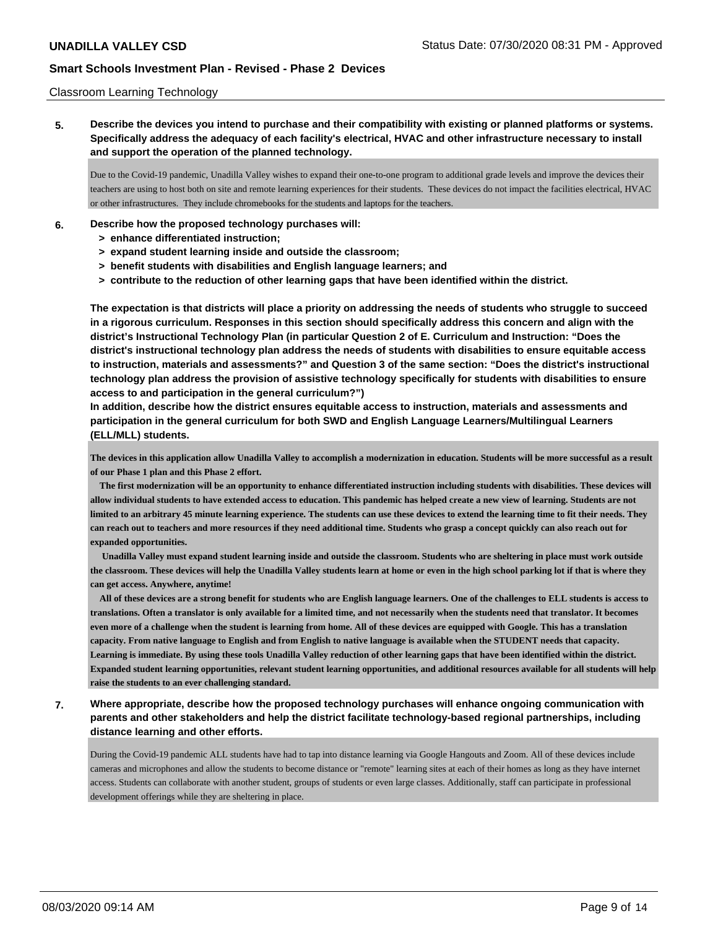### Classroom Learning Technology

**5. Describe the devices you intend to purchase and their compatibility with existing or planned platforms or systems. Specifically address the adequacy of each facility's electrical, HVAC and other infrastructure necessary to install and support the operation of the planned technology.**

Due to the Covid-19 pandemic, Unadilla Valley wishes to expand their one-to-one program to additional grade levels and improve the devices their teachers are using to host both on site and remote learning experiences for their students. These devices do not impact the facilities electrical, HVAC or other infrastructures. They include chromebooks for the students and laptops for the teachers.

- **6. Describe how the proposed technology purchases will:**
	- **> enhance differentiated instruction;**
	- **> expand student learning inside and outside the classroom;**
	- **> benefit students with disabilities and English language learners; and**
	- **> contribute to the reduction of other learning gaps that have been identified within the district.**

**The expectation is that districts will place a priority on addressing the needs of students who struggle to succeed in a rigorous curriculum. Responses in this section should specifically address this concern and align with the district's Instructional Technology Plan (in particular Question 2 of E. Curriculum and Instruction: "Does the district's instructional technology plan address the needs of students with disabilities to ensure equitable access to instruction, materials and assessments?" and Question 3 of the same section: "Does the district's instructional technology plan address the provision of assistive technology specifically for students with disabilities to ensure access to and participation in the general curriculum?")**

**In addition, describe how the district ensures equitable access to instruction, materials and assessments and participation in the general curriculum for both SWD and English Language Learners/Multilingual Learners (ELL/MLL) students.**

**The devices in this application allow Unadilla Valley to accomplish a modernization in education. Students will be more successful as a result of our Phase 1 plan and this Phase 2 effort.**

 **The first modernization will be an opportunity to enhance differentiated instruction including students with disabilities. These devices will allow individual students to have extended access to education. This pandemic has helped create a new view of learning. Students are not limited to an arbitrary 45 minute learning experience. The students can use these devices to extend the learning time to fit their needs. They can reach out to teachers and more resources if they need additional time. Students who grasp a concept quickly can also reach out for expanded opportunities.**

 **Unadilla Valley must expand student learning inside and outside the classroom. Students who are sheltering in place must work outside the classroom. These devices will help the Unadilla Valley students learn at home or even in the high school parking lot if that is where they can get access. Anywhere, anytime!** 

 **All of these devices are a strong benefit for students who are English language learners. One of the challenges to ELL students is access to translations. Often a translator is only available for a limited time, and not necessarily when the students need that translator. It becomes even more of a challenge when the student is learning from home. All of these devices are equipped with Google. This has a translation capacity. From native language to English and from English to native language is available when the STUDENT needs that capacity. Learning is immediate. By using these tools Unadilla Valley reduction of other learning gaps that have been identified within the district. Expanded student learning opportunities, relevant student learning opportunities, and additional resources available for all students will help raise the students to an ever challenging standard.**

**7. Where appropriate, describe how the proposed technology purchases will enhance ongoing communication with parents and other stakeholders and help the district facilitate technology-based regional partnerships, including distance learning and other efforts.**

During the Covid-19 pandemic ALL students have had to tap into distance learning via Google Hangouts and Zoom. All of these devices include cameras and microphones and allow the students to become distance or "remote" learning sites at each of their homes as long as they have internet access. Students can collaborate with another student, groups of students or even large classes. Additionally, staff can participate in professional development offerings while they are sheltering in place.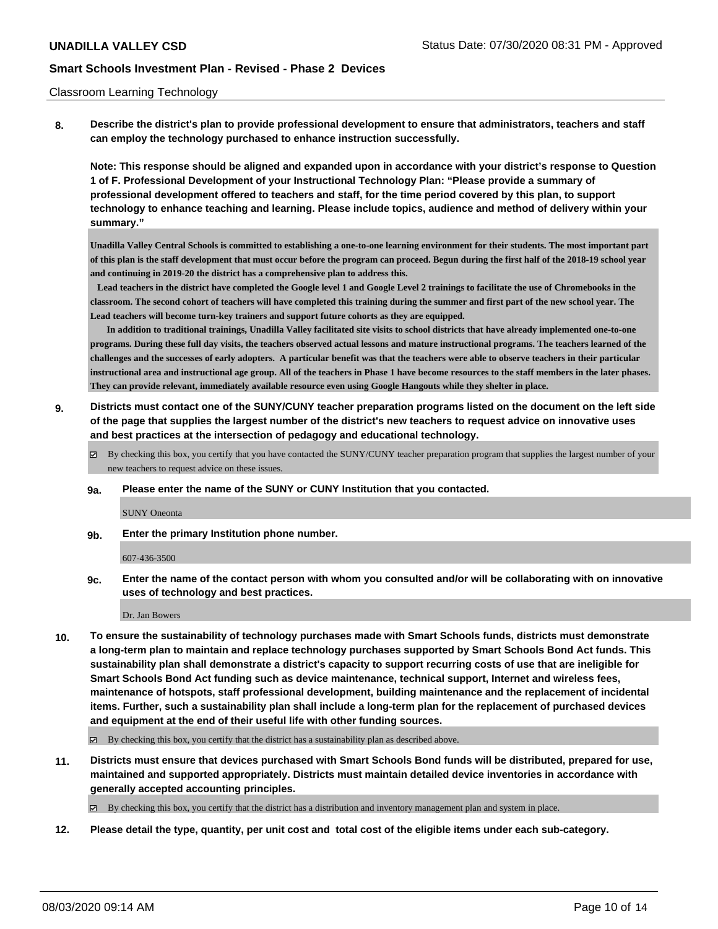#### Classroom Learning Technology

**8. Describe the district's plan to provide professional development to ensure that administrators, teachers and staff can employ the technology purchased to enhance instruction successfully.**

**Note: This response should be aligned and expanded upon in accordance with your district's response to Question 1 of F. Professional Development of your Instructional Technology Plan: "Please provide a summary of professional development offered to teachers and staff, for the time period covered by this plan, to support technology to enhance teaching and learning. Please include topics, audience and method of delivery within your summary."**

**Unadilla Valley Central Schools is committed to establishing a one-to-one learning environment for their students. The most important part of this plan is the staff development that must occur before the program can proceed. Begun during the first half of the 2018-19 school year and continuing in 2019-20 the district has a comprehensive plan to address this.** 

 **Lead teachers in the district have completed the Google level 1 and Google Level 2 trainings to facilitate the use of Chromebooks in the classroom. The second cohort of teachers will have completed this training during the summer and first part of the new school year. The Lead teachers will become turn-key trainers and support future cohorts as they are equipped.** 

 **In addition to traditional trainings, Unadilla Valley facilitated site visits to school districts that have already implemented one-to-one programs. During these full day visits, the teachers observed actual lessons and mature instructional programs. The teachers learned of the challenges and the successes of early adopters. A particular benefit was that the teachers were able to observe teachers in their particular instructional area and instructional age group. All of the teachers in Phase 1 have become resources to the staff members in the later phases. They can provide relevant, immediately available resource even using Google Hangouts while they shelter in place.**

- **9. Districts must contact one of the SUNY/CUNY teacher preparation programs listed on the document on the left side of the page that supplies the largest number of the district's new teachers to request advice on innovative uses and best practices at the intersection of pedagogy and educational technology.**
	- $\boxtimes$  By checking this box, you certify that you have contacted the SUNY/CUNY teacher preparation program that supplies the largest number of your new teachers to request advice on these issues.
	- **9a. Please enter the name of the SUNY or CUNY Institution that you contacted.**

SUNY Oneonta

**9b. Enter the primary Institution phone number.**

607-436-3500

**9c. Enter the name of the contact person with whom you consulted and/or will be collaborating with on innovative uses of technology and best practices.**

Dr. Jan Bowers

**10. To ensure the sustainability of technology purchases made with Smart Schools funds, districts must demonstrate a long-term plan to maintain and replace technology purchases supported by Smart Schools Bond Act funds. This sustainability plan shall demonstrate a district's capacity to support recurring costs of use that are ineligible for Smart Schools Bond Act funding such as device maintenance, technical support, Internet and wireless fees, maintenance of hotspots, staff professional development, building maintenance and the replacement of incidental items. Further, such a sustainability plan shall include a long-term plan for the replacement of purchased devices and equipment at the end of their useful life with other funding sources.**

 $\boxtimes$  By checking this box, you certify that the district has a sustainability plan as described above.

**11. Districts must ensure that devices purchased with Smart Schools Bond funds will be distributed, prepared for use, maintained and supported appropriately. Districts must maintain detailed device inventories in accordance with generally accepted accounting principles.**

By checking this box, you certify that the district has a distribution and inventory management plan and system in place.

**12. Please detail the type, quantity, per unit cost and total cost of the eligible items under each sub-category.**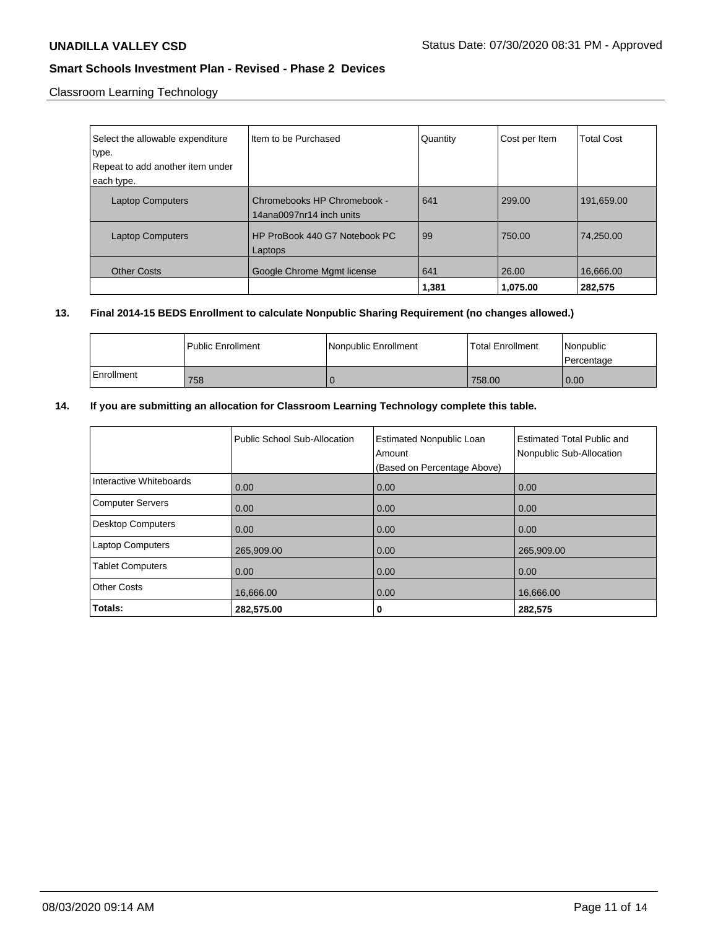Classroom Learning Technology

| Select the allowable expenditure<br>type.<br>Repeat to add another item under<br>each type. | Item to be Purchased                                    | Quantity     | Cost per Item     | <b>Total Cost</b>    |
|---------------------------------------------------------------------------------------------|---------------------------------------------------------|--------------|-------------------|----------------------|
| <b>Laptop Computers</b>                                                                     | Chromebooks HP Chromebook -<br>14ana0097nr14 inch units | 641          | 299.00            | 191,659.00           |
| <b>Laptop Computers</b>                                                                     | HP ProBook 440 G7 Notebook PC<br>Laptops                | 99           | 750.00            | 74.250.00            |
| <b>Other Costs</b>                                                                          | Google Chrome Mgmt license                              | 641<br>1,381 | 26.00<br>1,075.00 | 16,666.00<br>282,575 |

### **13. Final 2014-15 BEDS Enrollment to calculate Nonpublic Sharing Requirement (no changes allowed.)**

|            | l Public Enrollment | l Nonpublic Enrollment | <b>Total Enrollment</b> | Nonpublic<br>l Percentage |
|------------|---------------------|------------------------|-------------------------|---------------------------|
| Enrollment | 758                 |                        | 758.00                  | 0.00                      |

# **14. If you are submitting an allocation for Classroom Learning Technology complete this table.**

|                          | Public School Sub-Allocation | <b>Estimated Nonpublic Loan</b><br>Amount<br>(Based on Percentage Above) | <b>Estimated Total Public and</b><br>Nonpublic Sub-Allocation |
|--------------------------|------------------------------|--------------------------------------------------------------------------|---------------------------------------------------------------|
| Interactive Whiteboards  | 0.00                         | 0.00                                                                     | 0.00                                                          |
| <b>Computer Servers</b>  | 0.00                         | 0.00                                                                     | 0.00                                                          |
| <b>Desktop Computers</b> | 0.00                         | 0.00                                                                     | 0.00                                                          |
| <b>Laptop Computers</b>  | 265,909.00                   | 0.00                                                                     | 265,909.00                                                    |
| <b>Tablet Computers</b>  | 0.00                         | 0.00                                                                     | 0.00                                                          |
| <b>Other Costs</b>       | 16,666.00                    | 0.00                                                                     | 16,666.00                                                     |
| Totals:                  | 282,575.00                   | 0                                                                        | 282,575                                                       |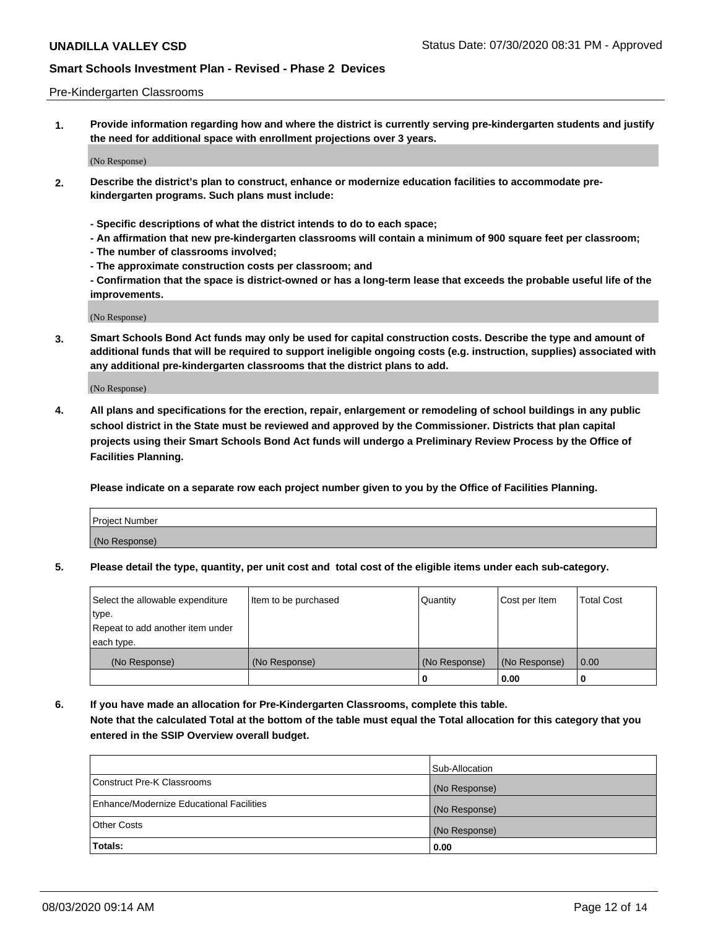#### Pre-Kindergarten Classrooms

**1. Provide information regarding how and where the district is currently serving pre-kindergarten students and justify the need for additional space with enrollment projections over 3 years.**

(No Response)

- **2. Describe the district's plan to construct, enhance or modernize education facilities to accommodate prekindergarten programs. Such plans must include:**
	- **Specific descriptions of what the district intends to do to each space;**
	- **An affirmation that new pre-kindergarten classrooms will contain a minimum of 900 square feet per classroom;**
	- **The number of classrooms involved;**
	- **The approximate construction costs per classroom; and**
	- **Confirmation that the space is district-owned or has a long-term lease that exceeds the probable useful life of the improvements.**

(No Response)

**3. Smart Schools Bond Act funds may only be used for capital construction costs. Describe the type and amount of additional funds that will be required to support ineligible ongoing costs (e.g. instruction, supplies) associated with any additional pre-kindergarten classrooms that the district plans to add.**

(No Response)

**4. All plans and specifications for the erection, repair, enlargement or remodeling of school buildings in any public school district in the State must be reviewed and approved by the Commissioner. Districts that plan capital projects using their Smart Schools Bond Act funds will undergo a Preliminary Review Process by the Office of Facilities Planning.**

**Please indicate on a separate row each project number given to you by the Office of Facilities Planning.**

| Project Number |  |
|----------------|--|
| (No Response)  |  |
|                |  |

**5. Please detail the type, quantity, per unit cost and total cost of the eligible items under each sub-category.**

| Select the allowable expenditure | Item to be purchased | Quantity      | Cost per Item | <b>Total Cost</b> |
|----------------------------------|----------------------|---------------|---------------|-------------------|
| type.                            |                      |               |               |                   |
| Repeat to add another item under |                      |               |               |                   |
| each type.                       |                      |               |               |                   |
| (No Response)                    | (No Response)        | (No Response) | (No Response) | 0.00              |
|                                  |                      | U             | 0.00          |                   |

**6. If you have made an allocation for Pre-Kindergarten Classrooms, complete this table. Note that the calculated Total at the bottom of the table must equal the Total allocation for this category that you entered in the SSIP Overview overall budget.**

|                                          | Sub-Allocation |
|------------------------------------------|----------------|
| Construct Pre-K Classrooms               | (No Response)  |
| Enhance/Modernize Educational Facilities | (No Response)  |
| <b>Other Costs</b>                       | (No Response)  |
| Totals:                                  | 0.00           |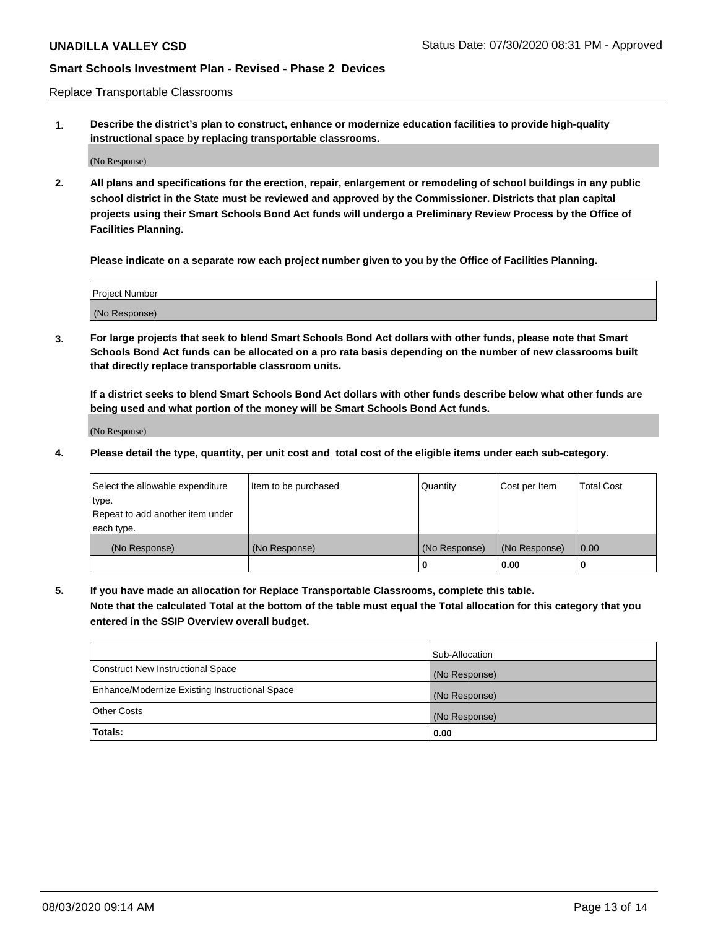Replace Transportable Classrooms

**1. Describe the district's plan to construct, enhance or modernize education facilities to provide high-quality instructional space by replacing transportable classrooms.**

(No Response)

**2. All plans and specifications for the erection, repair, enlargement or remodeling of school buildings in any public school district in the State must be reviewed and approved by the Commissioner. Districts that plan capital projects using their Smart Schools Bond Act funds will undergo a Preliminary Review Process by the Office of Facilities Planning.**

**Please indicate on a separate row each project number given to you by the Office of Facilities Planning.**

| Project Number |  |
|----------------|--|
|                |  |
|                |  |
|                |  |
|                |  |
| (No Response)  |  |
|                |  |
|                |  |
|                |  |

**3. For large projects that seek to blend Smart Schools Bond Act dollars with other funds, please note that Smart Schools Bond Act funds can be allocated on a pro rata basis depending on the number of new classrooms built that directly replace transportable classroom units.**

**If a district seeks to blend Smart Schools Bond Act dollars with other funds describe below what other funds are being used and what portion of the money will be Smart Schools Bond Act funds.**

(No Response)

**4. Please detail the type, quantity, per unit cost and total cost of the eligible items under each sub-category.**

| Select the allowable expenditure | Item to be purchased | Quantity      | Cost per Item | <b>Total Cost</b> |
|----------------------------------|----------------------|---------------|---------------|-------------------|
| ∣type.                           |                      |               |               |                   |
| Repeat to add another item under |                      |               |               |                   |
| each type.                       |                      |               |               |                   |
| (No Response)                    | (No Response)        | (No Response) | (No Response) | 0.00              |
|                                  |                      | 0             | 0.00          |                   |

**5. If you have made an allocation for Replace Transportable Classrooms, complete this table. Note that the calculated Total at the bottom of the table must equal the Total allocation for this category that you entered in the SSIP Overview overall budget.**

|                                                | Sub-Allocation |
|------------------------------------------------|----------------|
| Construct New Instructional Space              | (No Response)  |
| Enhance/Modernize Existing Instructional Space | (No Response)  |
| <b>Other Costs</b>                             | (No Response)  |
| Totals:                                        | 0.00           |